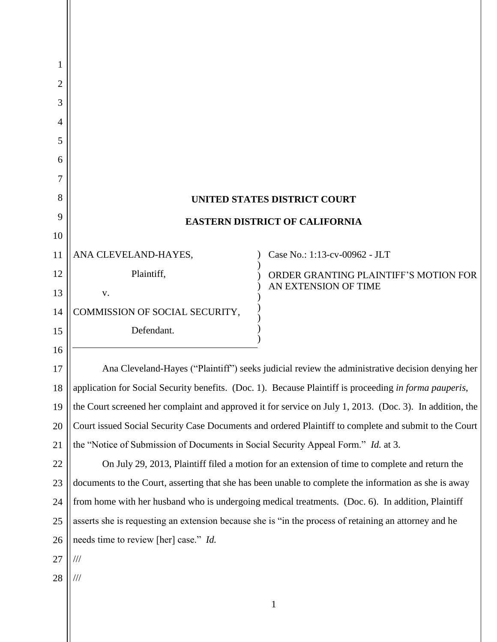| 1              |                                                                                                          |                                                               |  |
|----------------|----------------------------------------------------------------------------------------------------------|---------------------------------------------------------------|--|
| $\overline{2}$ |                                                                                                          |                                                               |  |
| 3              |                                                                                                          |                                                               |  |
| 4              |                                                                                                          |                                                               |  |
| 5              |                                                                                                          |                                                               |  |
| 6              |                                                                                                          |                                                               |  |
| 7              |                                                                                                          |                                                               |  |
| 8              | <b>UNITED STATES DISTRICT COURT</b>                                                                      |                                                               |  |
| 9              | <b>EASTERN DISTRICT OF CALIFORNIA</b>                                                                    |                                                               |  |
| 10             |                                                                                                          |                                                               |  |
| 11             | ANA CLEVELAND-HAYES,                                                                                     | Case No.: 1:13-cv-00962 - JLT                                 |  |
| 12             | Plaintiff,                                                                                               | ORDER GRANTING PLAINTIFF'S MOTION FOR<br>AN EXTENSION OF TIME |  |
| 13             | V.                                                                                                       |                                                               |  |
| 14             | COMMISSION OF SOCIAL SECURITY,                                                                           |                                                               |  |
| 15             | Defendant.                                                                                               |                                                               |  |
| 16             |                                                                                                          |                                                               |  |
| 17             | Ana Cleveland-Hayes ("Plaintiff") seeks judicial review the administrative decision denying her          |                                                               |  |
| 18             | application for Social Security benefits. (Doc. 1). Because Plaintiff is proceeding in forma pauperis,   |                                                               |  |
| 19             | the Court screened her complaint and approved it for service on July 1, 2013. (Doc. 3). In addition, the |                                                               |  |
| 20             | Court issued Social Security Case Documents and ordered Plaintiff to complete and submit to the Court    |                                                               |  |
| 21             | the "Notice of Submission of Documents in Social Security Appeal Form." Id. at 3.                        |                                                               |  |
| 22             | On July 29, 2013, Plaintiff filed a motion for an extension of time to complete and return the           |                                                               |  |
| 23             | documents to the Court, asserting that she has been unable to complete the information as she is away    |                                                               |  |
| 24             | from home with her husband who is undergoing medical treatments. (Doc. 6). In addition, Plaintiff        |                                                               |  |
| 25             | asserts she is requesting an extension because she is "in the process of retaining an attorney and he    |                                                               |  |
| 26             | needs time to review [her] case." <i>Id.</i>                                                             |                                                               |  |
| 27             | ///                                                                                                      |                                                               |  |
| 28             | ///                                                                                                      |                                                               |  |
|                |                                                                                                          | $\mathbf{1}$                                                  |  |